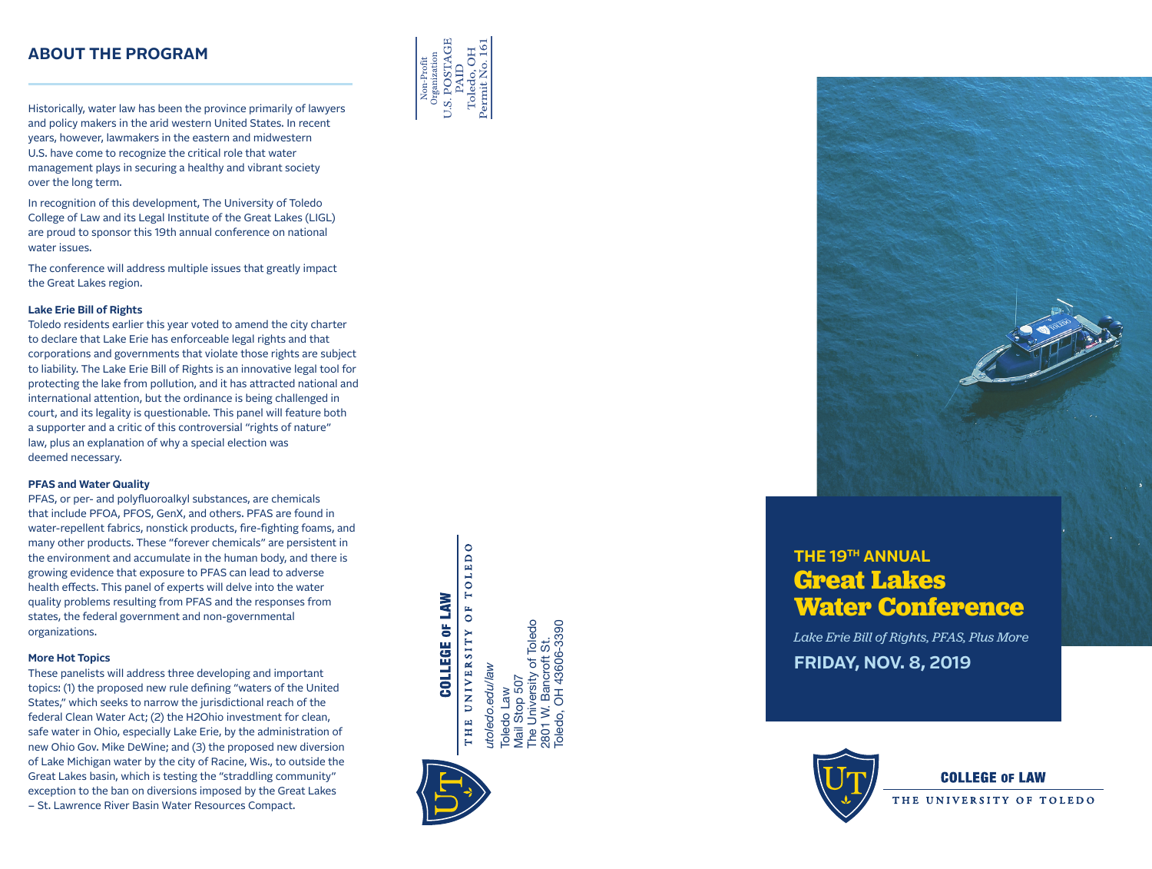### **ABOUT THE PROGRAM**

Historically, water law has been the province primarily of lawyers and policy makers in the arid western United States. In recent years, however, lawmakers in the eastern and midwestern U.S. have come to recognize the critical role that water management plays in securing a healthy and vibrant society over the long term.

In recognition of this development, The University of Toledo College of Law and its Legal Institute of the Great Lakes (LIGL) are proud to sponsor this 19th annual conference on national water issues.

The conference will address multiple issues that greatly impact the Great Lakes region.

#### **Lake Erie Bill of Rights**

Toledo residents earlier this year voted to amend the city charter to declare that Lake Erie has enforceable legal rights and that corporations and governments that violate those rights are subject to liability. The Lake Erie Bill of Rights is an innovative legal tool for protecting the lake from pollution, and it has attracted national and international attention, but the ordinance is being challenged in court, and its legality is questionable. This panel will feature both a supporter and a critic of this controversial "rights of nature" law, plus an explanation of why a special election was deemed necessary.

#### **PFAS and Water Quality**

PFAS, or per- and polyfluoroalkyl substances, are chemicals that include PFOA, PFOS, GenX, and others. PFAS are found in water-repellent fabrics, nonstick products, fire-fighting foams, and many other products. These "forever chemicals" are persistent in the environment and accumulate in the human body, and there is growing evidence that exposure to PFAS can lead to adverse health effects. This panel of experts will delve into the water quality problems resulting from PFAS and the responses from states, the federal government and non-governmental organizations.

#### **More Hot Topics**

These panelists will address three developing and important topics: (1) the proposed new rule defining "waters of the United States," which seeks to narrow the jurisdictional reach of the federal Clean Water Act; (2) the H2Ohio investment for clean, safe water in Ohio, especially Lake Erie, by the administration of new Ohio Gov. Mike DeWine; and (3) the proposed new diversion of Lake Michigan water by the city of Racine, Wis., to outside the Great Lakes basin, which is testing the "straddling community" exception to the ban on diversions imposed by the Great Lakes – St. Lawrence River Basin Water Resources Compact.





## **THE 19TH ANNUAL Great Lakes Water Conference**

*Lake Erie Bill of Rights, PFAS, Plus More* **FRIDAY, NOV. 8, 2019**



**COLLEGE OF LAW** 

THE UNIVERSITY OF TOLEDO

TOLEDO **COLLEGE OF LAW** OF

The University of Toledo<br>801 W. Bancroft St. L Bancroft St.<br>OH 43606-3390 The University of Toledo Toledo, OH 43606-3390 THE UNIVERSITY 2801 W. Bancroft St. utoledo.edu/law *utoledo.edu/law* Vlail Stop 507 Mail Stop 507 oledo Law Toledo Law 2801 W.I<br>Toledo, C